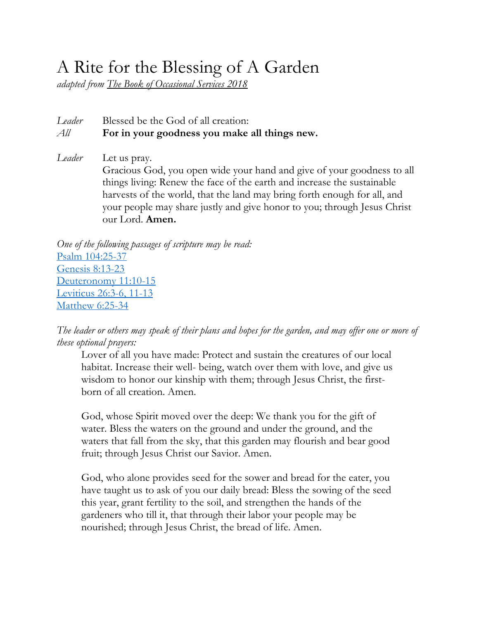## A Rite for the Blessing of A Garden

*adapted from The Book of Occasional Services 2018*

## *Leader* Blessed be the God of all creation: *All* **For in your goodness you make all things new.**

*Leader* Let us pray. Gracious God, you open wide your hand and give of your goodness to all things living: Renew the face of the earth and increase the sustainable harvests of the world, that the land may bring forth enough for all, and your people may share justly and give honor to you; through Jesus Christ our Lord. **Amen.**

*One of the following passages of scripture may be read:* Psalm 104:25-37 Genesis 8:13-23 Deuteronomy 11:10-15 Leviticus 26:3-6, 11-13 Matthew 6:25-34

*The leader or others may speak of their plans and hopes for the garden, and may offer one or more of these optional prayers:*

Lover of all you have made: Protect and sustain the creatures of our local habitat. Increase their well- being, watch over them with love, and give us wisdom to honor our kinship with them; through Jesus Christ, the firstborn of all creation. Amen.

God, whose Spirit moved over the deep: We thank you for the gift of water. Bless the waters on the ground and under the ground, and the waters that fall from the sky, that this garden may flourish and bear good fruit; through Jesus Christ our Savior. Amen.

God, who alone provides seed for the sower and bread for the eater, you have taught us to ask of you our daily bread: Bless the sowing of the seed this year, grant fertility to the soil, and strengthen the hands of the gardeners who till it, that through their labor your people may be nourished; through Jesus Christ, the bread of life. Amen.